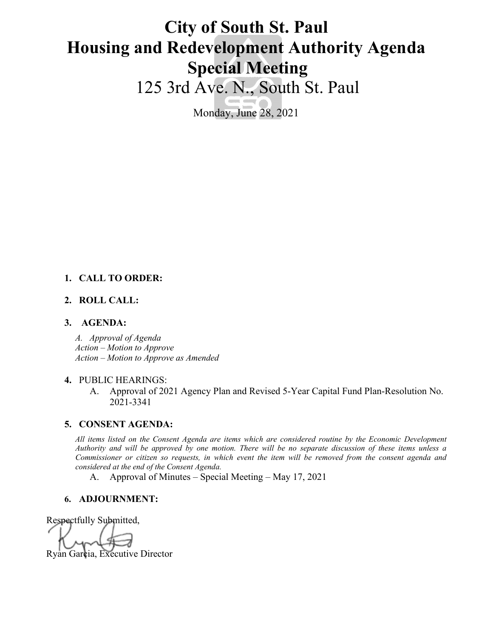# **City of South St. Paul Housing and Redevelopment Authority Agenda Special Meeting**

125 3rd Ave. N., South St. Paul

Monday, June 28, 2021

### **1. CALL TO ORDER:**

### **2. ROLL CALL:**

### **3. AGENDA:**

*A. Approval of Agenda Action – Motion to Approve Action – Motion to Approve as Amended*

### **4.** PUBLIC HEARINGS:

A. Approval of 2021 Agency Plan and Revised 5-Year Capital Fund Plan-Resolution No. 2021-3341

### **5. CONSENT AGENDA:**

*All items listed on the Consent Agenda are items which are considered routine by the Economic Development Authority and will be approved by one motion. There will be no separate discussion of these items unless a Commissioner or citizen so requests, in which event the item will be removed from the consent agenda and considered at the end of the Consent Agenda.*

A. Approval of Minutes – Special Meeting – May 17, 2021

### **6. ADJOURNMENT:**

Respectfully Submitted,

Ryan Garcia, Executive Director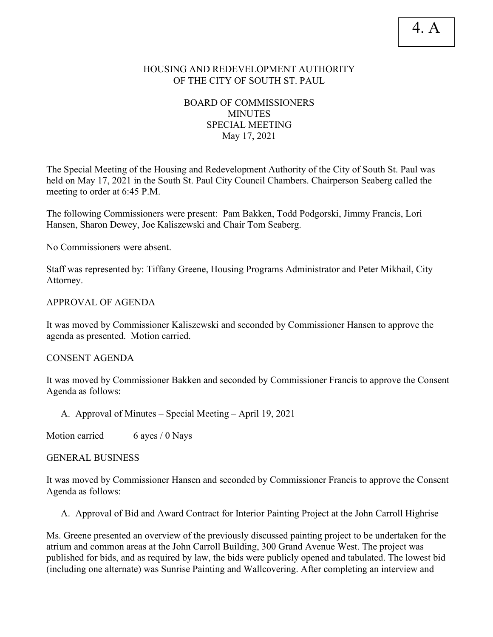# HOUSING AND REDEVELOPMENT AUTHORITY OF THE CITY OF SOUTH ST. PAUL

# BOARD OF COMMISSIONERS **MINUTES** SPECIAL MEETING May 17, 2021

The Special Meeting of the Housing and Redevelopment Authority of the City of South St. Paul was held on May 17, 2021 in the South St. Paul City Council Chambers. Chairperson Seaberg called the meeting to order at 6:45 P.M.

The following Commissioners were present: Pam Bakken, Todd Podgorski, Jimmy Francis, Lori Hansen, Sharon Dewey, Joe Kaliszewski and Chair Tom Seaberg.

No Commissioners were absent.

Staff was represented by: Tiffany Greene, Housing Programs Administrator and Peter Mikhail, City Attorney.

### APPROVAL OF AGENDA

It was moved by Commissioner Kaliszewski and seconded by Commissioner Hansen to approve the agenda as presented. Motion carried.

### CONSENT AGENDA

It was moved by Commissioner Bakken and seconded by Commissioner Francis to approve the Consent Agenda as follows:

A. Approval of Minutes – Special Meeting – April 19, 2021

Motion carried 6 ayes / 0 Nays

### GENERAL BUSINESS

It was moved by Commissioner Hansen and seconded by Commissioner Francis to approve the Consent Agenda as follows:

A. Approval of Bid and Award Contract for Interior Painting Project at the John Carroll Highrise

Ms. Greene presented an overview of the previously discussed painting project to be undertaken for the atrium and common areas at the John Carroll Building, 300 Grand Avenue West. The project was published for bids, and as required by law, the bids were publicly opened and tabulated. The lowest bid (including one alternate) was Sunrise Painting and Wallcovering. After completing an interview and

# 4. A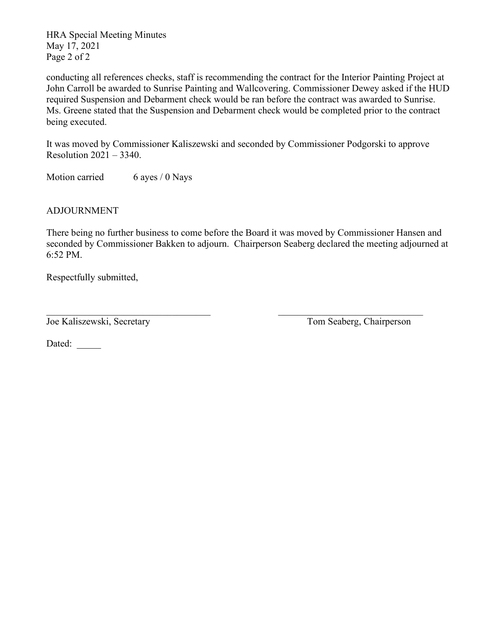HRA Special Meeting Minutes May 17, 2021 Page 2 of 2

conducting all references checks, staff is recommending the contract for the Interior Painting Project at John Carroll be awarded to Sunrise Painting and Wallcovering. Commissioner Dewey asked if the HUD required Suspension and Debarment check would be ran before the contract was awarded to Sunrise. Ms. Greene stated that the Suspension and Debarment check would be completed prior to the contract being executed.

It was moved by Commissioner Kaliszewski and seconded by Commissioner Podgorski to approve Resolution 2021 – 3340.

Motion carried 6 ayes / 0 Nays

ADJOURNMENT

There being no further business to come before the Board it was moved by Commissioner Hansen and seconded by Commissioner Bakken to adjourn. Chairperson Seaberg declared the meeting adjourned at 6:52 PM.

Respectfully submitted,

Joe Kaliszewski, Secretary Tom Seaberg, Chairperson

Dated: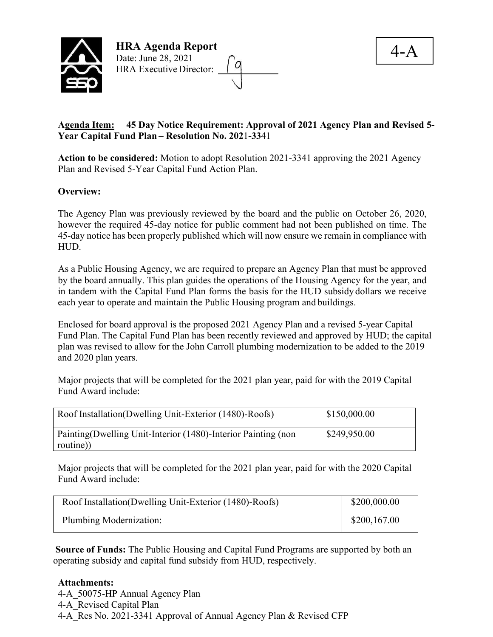



# **Agenda Item: 45 Day Notice Requirement: Approval of 2021 Agency Plan and Revised 5- Year Capital Fund Plan – Resolution No. 202**1**-33**41

**Action to be considered:** Motion to adopt Resolution 2021-3341 approving the 2021 Agency Plan and Revised 5-Year Capital Fund Action Plan.

# **Overview:**

The Agency Plan was previously reviewed by the board and the public on October 26, 2020, however the required 45-day notice for public comment had not been published on time. The 45-day notice has been properly published which will now ensure we remain in compliance with HUD.

As a Public Housing Agency, we are required to prepare an Agency Plan that must be approved by the board annually. This plan guides the operations of the Housing Agency for the year, and in tandem with the Capital Fund Plan forms the basis for the HUD subsidy dollars we receive each year to operate and maintain the Public Housing program and buildings.

Enclosed for board approval is the proposed 2021 Agency Plan and a revised 5-year Capital Fund Plan. The Capital Fund Plan has been recently reviewed and approved by HUD; the capital plan was revised to allow for the John Carroll plumbing modernization to be added to the 2019 and 2020 plan years.

Major projects that will be completed for the 2021 plan year, paid for with the 2019 Capital Fund Award include:

| Roof Installation(Dwelling Unit-Exterior (1480)-Roofs)         | \$150,000.00 |
|----------------------------------------------------------------|--------------|
| Painting (Dwelling Unit-Interior (1480)-Interior Painting (non | \$249,950.00 |
| routine)                                                       |              |

Major projects that will be completed for the 2021 plan year, paid for with the 2020 Capital Fund Award include:

| Roof Installation(Dwelling Unit-Exterior (1480)-Roofs) | \$200,000.00 |
|--------------------------------------------------------|--------------|
| Plumbing Modernization:                                | \$200,167.00 |

**Source of Funds:** The Public Housing and Capital Fund Programs are supported by both an operating subsidy and capital fund subsidy from HUD, respectively.

# **Attachments:**

4-A\_50075-HP Annual Agency Plan 4-A\_Revised Capital Plan 4-A\_Res No. 2021-3341 Approval of Annual Agency Plan & Revised CFP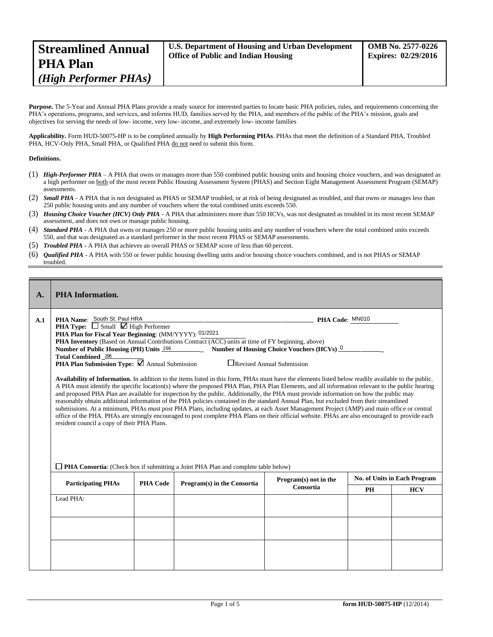| <b>Office of Public and Indian Housing</b><br><b>PHA Plan</b> | <b>Expires: 02/29/2016</b> |
|---------------------------------------------------------------|----------------------------|
| (High Performer PHAs)                                         |                            |

Purpose. The 5-Year and Annual PHA Plans provide a ready source for interested parties to locate basic PHA policies, rules, and requirements concerning the PHA's operations, programs, and services, and informs HUD, families served by the PHA, and members of the public of the PHA's mission, goals and objectives for serving the needs of low- income, very low- income, and extremely low- income families

**Applicability.** Form HUD-50075-HP is to be completed annually by **High Performing PHAs**. PHAs that meet the definition of a Standard PHA, Troubled PHA, HCV-Only PHA, Small PHA, or Qualified PHA do not need to submit this form.

#### **Definitions.**

- (1) *High-Performer PHA*  A PHA that owns or manages more than 550 combined public housing units and housing choice vouchers, and was designated as a high performer on both of the most recent Public Housing Assessment System (PHAS) and Section Eight Management Assessment Program (SEMAP) assessments.
- (2) *Small PHA*  A PHA that is not designated as PHAS or SEMAP troubled, or at risk of being designated as troubled, and that owns or manages less than 250 public housing units and any number of vouchers where the total combined units exceeds 550.
- (3) *Housing Choice Voucher (HCV) Only PHA*  A PHA that administers more than 550 HCVs, was not designated as troubled in its most recent SEMAP assessment, and does not own or manage public housing.
- (4) *Standard PHA*  A PHA that owns or manages 250 or more public housing units and any number of vouchers where the total combined units exceeds 550, and that was designated as a standard performer in the most recent PHAS or SEMAP assessments.
- (5) *Troubled PHA* **-** A PHA that achieves an overall PHAS or SEMAP score of less than 60 percent.
- (6) *Qualified PHA*  A PHA with 550 or fewer public housing dwelling units and/or housing choice vouchers combined, and is not PHAS or SEMAP troubled.

| $\mathbf{A}$ . | <b>PHA</b> Information.                                                                                                                                                                                                                                                                                                                                                                                                                                                                                                                                                                                                                                                                                                                                                                                                                                                                                                                                                                                                                                                                                                                                                                                                                                                                                                                                                                                                                  |                 |                                                                                           |                       |           |                                     |  |
|----------------|------------------------------------------------------------------------------------------------------------------------------------------------------------------------------------------------------------------------------------------------------------------------------------------------------------------------------------------------------------------------------------------------------------------------------------------------------------------------------------------------------------------------------------------------------------------------------------------------------------------------------------------------------------------------------------------------------------------------------------------------------------------------------------------------------------------------------------------------------------------------------------------------------------------------------------------------------------------------------------------------------------------------------------------------------------------------------------------------------------------------------------------------------------------------------------------------------------------------------------------------------------------------------------------------------------------------------------------------------------------------------------------------------------------------------------------|-----------------|-------------------------------------------------------------------------------------------|-----------------------|-----------|-------------------------------------|--|
| A.1            | PHA Name: South St. Paul HRA<br>PHA Code: MN010<br><b>PHA Type:</b> $\Box$ Small $\Box$ High Performer<br>PHA Plan for Fiscal Year Beginning: (MM/YYYY): 01/2021<br>PHA Inventory (Based on Annual Contributions Contract (ACC) units at time of FY beginning, above)<br>Number of Housing Choice Vouchers (HCVs) 0<br>Number of Public Housing (PH) Units 296<br>Total Combined 286<br><b>PHA Plan Submission Type:</b> $\boxtimes$ Annual Submission<br>$\Box$ Revised Annual Submission<br>Availability of Information. In addition to the items listed in this form, PHAs must have the elements listed below readily available to the public.<br>A PHA must identify the specific location(s) where the proposed PHA Plan, PHA Plan Elements, and all information relevant to the public hearing<br>and proposed PHA Plan are available for inspection by the public. Additionally, the PHA must provide information on how the public may<br>reasonably obtain additional information of the PHA policies contained in the standard Annual Plan, but excluded from their streamlined<br>submissions. At a minimum, PHAs must post PHA Plans, including updates, at each Asset Management Project (AMP) and main office or central<br>office of the PHA. PHAs are strongly encouraged to post complete PHA Plans on their official website. PHAs are also encouraged to provide each<br>resident council a copy of their PHA Plans. |                 |                                                                                           |                       |           |                                     |  |
|                |                                                                                                                                                                                                                                                                                                                                                                                                                                                                                                                                                                                                                                                                                                                                                                                                                                                                                                                                                                                                                                                                                                                                                                                                                                                                                                                                                                                                                                          |                 |                                                                                           |                       |           |                                     |  |
|                |                                                                                                                                                                                                                                                                                                                                                                                                                                                                                                                                                                                                                                                                                                                                                                                                                                                                                                                                                                                                                                                                                                                                                                                                                                                                                                                                                                                                                                          |                 | $\Box$ PHA Consortia: (Check box if submitting a Joint PHA Plan and complete table below) | Program(s) not in the |           | <b>No. of Units in Each Program</b> |  |
|                | <b>Participating PHAs</b>                                                                                                                                                                                                                                                                                                                                                                                                                                                                                                                                                                                                                                                                                                                                                                                                                                                                                                                                                                                                                                                                                                                                                                                                                                                                                                                                                                                                                | <b>PHA Code</b> | Program(s) in the Consortia                                                               | Consortia             | <b>PH</b> | <b>HCV</b>                          |  |
|                | Lead PHA:                                                                                                                                                                                                                                                                                                                                                                                                                                                                                                                                                                                                                                                                                                                                                                                                                                                                                                                                                                                                                                                                                                                                                                                                                                                                                                                                                                                                                                |                 |                                                                                           |                       |           |                                     |  |
|                |                                                                                                                                                                                                                                                                                                                                                                                                                                                                                                                                                                                                                                                                                                                                                                                                                                                                                                                                                                                                                                                                                                                                                                                                                                                                                                                                                                                                                                          |                 |                                                                                           |                       |           |                                     |  |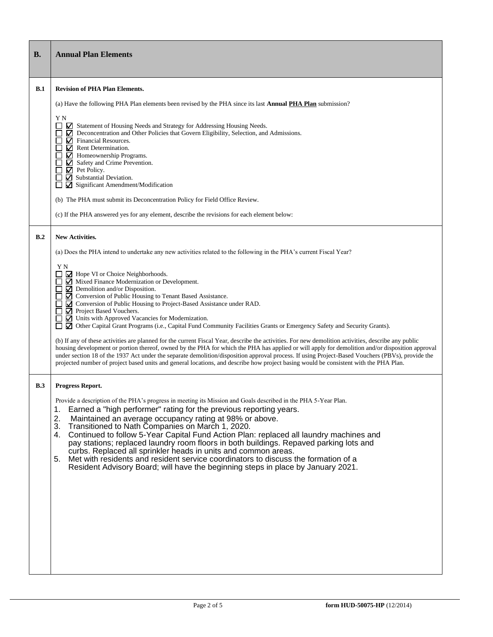| <b>B.</b>  | <b>Annual Plan Elements</b>                                                                                                                                                                                                                                                                                                                                                                                                                                                                                                                                                                                                                                                                                                                                                                                                                                                                                                                                                                                                                                                                                  |
|------------|--------------------------------------------------------------------------------------------------------------------------------------------------------------------------------------------------------------------------------------------------------------------------------------------------------------------------------------------------------------------------------------------------------------------------------------------------------------------------------------------------------------------------------------------------------------------------------------------------------------------------------------------------------------------------------------------------------------------------------------------------------------------------------------------------------------------------------------------------------------------------------------------------------------------------------------------------------------------------------------------------------------------------------------------------------------------------------------------------------------|
| B.1        | <b>Revision of PHA Plan Elements.</b>                                                                                                                                                                                                                                                                                                                                                                                                                                                                                                                                                                                                                                                                                                                                                                                                                                                                                                                                                                                                                                                                        |
|            | (a) Have the following PHA Plan elements been revised by the PHA since its last <b>Annual PHA Plan</b> submission?                                                                                                                                                                                                                                                                                                                                                                                                                                                                                                                                                                                                                                                                                                                                                                                                                                                                                                                                                                                           |
|            | ΥN<br>Statement of Housing Needs and Strategy for Addressing Housing Needs.<br>Deconcentration and Other Policies that Govern Eligibility, Selection, and Admissions.<br>$\Box$<br>$\triangledown$ Financial Resources.<br>$\triangledown$ Rent Determination.<br>$\nabla$ Homeownership Programs.<br>Safety and Crime Prevention.<br>$\mathbf{\nabla}$ Pet Policy.<br>$\triangleright$ Substantial Deviation.<br>Significant Amendment/Modification<br>(b) The PHA must submit its Deconcentration Policy for Field Office Review.<br>(c) If the PHA answered yes for any element, describe the revisions for each element below:                                                                                                                                                                                                                                                                                                                                                                                                                                                                           |
| B.2        | <b>New Activities.</b>                                                                                                                                                                                                                                                                                                                                                                                                                                                                                                                                                                                                                                                                                                                                                                                                                                                                                                                                                                                                                                                                                       |
|            | (a) Does the PHA intend to undertake any new activities related to the following in the PHA's current Fiscal Year?                                                                                                                                                                                                                                                                                                                                                                                                                                                                                                                                                                                                                                                                                                                                                                                                                                                                                                                                                                                           |
|            | ΥN<br>Hope VI or Choice Neighborhoods.<br>Mixed Finance Modernization or Development.<br>$\mathcal{L}$<br>$\Box$ Demolition and/or Disposition.<br>☑ Conversion of Public Housing to Tenant Based Assistance.<br>○ Conversion of Public Housing to Project-Based Assistance under RAD.<br>□ Project Based Vouchers.<br>■ Units with Approved Vacancies for Modernization.<br>⊠ Other Capital Grant Programs (i.e., Capital Fund Community Facilities Grants or Emergency Safety and Security Grants).<br>(b) If any of these activities are planned for the current Fiscal Year, describe the activities. For new demolition activities, describe any public<br>housing development or portion thereof, owned by the PHA for which the PHA has applied or will apply for demolition and/or disposition approval<br>under section 18 of the 1937 Act under the separate demolition/disposition approval process. If using Project-Based Vouchers (PBVs), provide the<br>projected number of project based units and general locations, and describe how project basing would be consistent with the PHA Plan. |
| <b>B.3</b> | Progress Report.                                                                                                                                                                                                                                                                                                                                                                                                                                                                                                                                                                                                                                                                                                                                                                                                                                                                                                                                                                                                                                                                                             |
|            | Provide a description of the PHA's progress in meeting its Mission and Goals described in the PHA 5-Year Plan.<br>Earned a "high performer" rating for the previous reporting years.<br>1.<br>2.<br>Maintained an average occupancy rating at 98% or above.<br>3.<br>Transitioned to Nath Companies on March 1, 2020.<br>Continued to follow 5-Year Capital Fund Action Plan: replaced all laundry machines and<br>4.<br>pay stations; replaced laundry room floors in both buildings. Repaved parking lots and<br>curbs. Replaced all sprinkler heads in units and common areas.<br>Met with residents and resident service coordinators to discuss the formation of a<br>5.<br>Resident Advisory Board; will have the beginning steps in place by January 2021.                                                                                                                                                                                                                                                                                                                                            |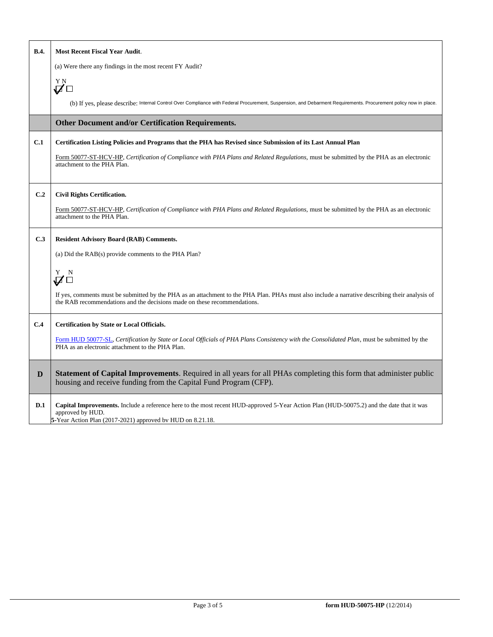| <b>B.4.</b> | <b>Most Recent Fiscal Year Audit.</b>                                                                                                                                                                                       |
|-------------|-----------------------------------------------------------------------------------------------------------------------------------------------------------------------------------------------------------------------------|
|             | (a) Were there any findings in the most recent FY Audit?                                                                                                                                                                    |
|             | ΥN<br>$\vec{U}$ $\square$                                                                                                                                                                                                   |
|             | (b) If yes, please describe: Internal Control Over Compliance with Federal Procurement, Suspension, and Debarment Requirements. Procurement policy now in place.                                                            |
|             | Other Document and/or Certification Requirements.                                                                                                                                                                           |
| C.1         | Certification Listing Policies and Programs that the PHA has Revised since Submission of its Last Annual Plan                                                                                                               |
|             | Form 50077-ST-HCV-HP, Certification of Compliance with PHA Plans and Related Regulations, must be submitted by the PHA as an electronic<br>attachment to the PHA Plan.                                                      |
| C.2         | <b>Civil Rights Certification.</b>                                                                                                                                                                                          |
|             | Form 50077-ST-HCV-HP, Certification of Compliance with PHA Plans and Related Regulations, must be submitted by the PHA as an electronic<br>attachment to the PHA Plan.                                                      |
| C.3         | <b>Resident Advisory Board (RAB) Comments.</b>                                                                                                                                                                              |
|             | (a) Did the RAB(s) provide comments to the PHA Plan?                                                                                                                                                                        |
|             | $\stackrel{\rm Y}{\blacktriangledown}$ $\stackrel{\rm N}{\square}$                                                                                                                                                          |
|             | If yes, comments must be submitted by the PHA as an attachment to the PHA Plan. PHAs must also include a narrative describing their analysis of<br>the RAB recommendations and the decisions made on these recommendations. |
| C.4         | Certification by State or Local Officials.                                                                                                                                                                                  |
|             | Form HUD 50077-SL, Certification by State or Local Officials of PHA Plans Consistency with the Consolidated Plan, must be submitted by the<br>PHA as an electronic attachment to the PHA Plan.                              |
| D           | Statement of Capital Improvements. Required in all years for all PHAs completing this form that administer public<br>housing and receive funding from the Capital Fund Program (CFP).                                       |
| D.1         | Capital Improvements. Include a reference here to the most recent HUD-approved 5-Year Action Plan (HUD-50075.2) and the date that it was<br>approved by HUD.<br>5-Year Action Plan (2017-2021) approved by HUD on 8.21.18.  |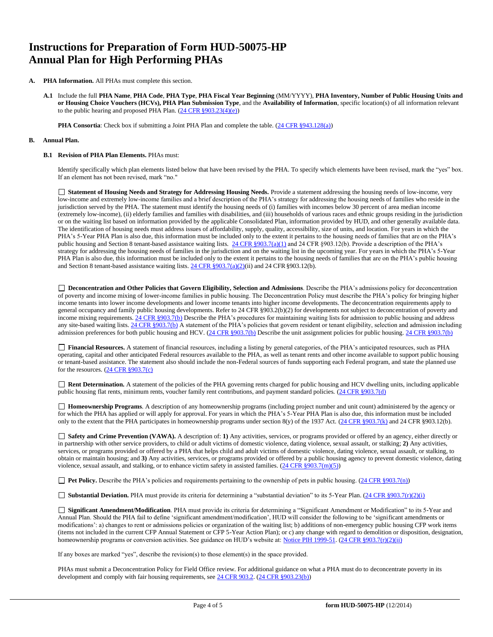# **Instructions for Preparation of Form HUD-50075-HP Annual Plan for High Performing PHAs**

- **A. PHA Information.** All PHAs must complete this section.
	- **A.1** Include the full **PHA Name**, **PHA Code**, **PHA Type**, **PHA Fiscal Year Beginning** (MM/YYYY), **PHA Inventory, Number of Public Housing Units and or Housing Choice Vouchers (HCVs), PHA Plan Submission Type**, and the **Availability of Information**, specific location(s) of all information relevant to the public hearing and proposed PHA Plan. (24 CFR [§903.23\(4\)\(e\)\)](http://ecfr.gpoaccess.gov/cgi/t/text/text-idx?c=ecfr&sid=13734845220744370804c20da2294a03&rgn=div5&view=text&node=24%3A4.0.3.1.3&idno=24&24%3A4.0.3.1.3.2.5.14)

**PHA Consortia**: Check box if submitting a Joint PHA Plan and complete the table[. \(24 CFR §943.128\(a\)\)](http://ecfr.gpoaccess.gov/cgi/t/text/text-idx?c=ecfr&sid=cc31cf1c3a2b84ba4ead75d35d258f67&rgn=div5&view=text&node=24%3A4.0.3.1.10&idno=24&24%3A4.0.3.1.10.2.5.7)

#### **B. Annual Plan.**

#### **B.1 Revision of PHA Plan Elements.** PHAs must:

Identify specifically which plan elements listed below that have been revised by the PHA. To specify which elements have been revised, mark the "yes" box. If an element has not been revised, mark "no."

**Statement of Housing Needs and Strategy for Addressing Housing Needs.** Provide a statement addressing the housing needs of low-income, very low-income and extremely low-income families and a brief description of the PHA's strategy for addressing the housing needs of families who reside in the jurisdiction served by the PHA. The statement must identify the housing needs of (i) families with incomes below 30 percent of area median income (extremely low-income), (ii) elderly families and families with disabilities, and (iii) households of various races and ethnic groups residing in the jurisdiction or on the waiting list based on information provided by the applicable Consolidated Plan, information provided by HUD, and other generally available data. The identification of housing needs must address issues of affordability, supply, quality, accessibility, size of units, and location. For years in which the PHA's 5-Year PHA Plan is also due, this information must be included only to the extent it pertains to the housing needs of families that are on the PHA's public housing and Section 8 tenant-based assistance waiting lists. [24 CFR §903.7\(a\)\(1\)](http://ecfr.gpoaccess.gov/cgi/t/text/text-idx?c=ecfr&sid=13734845220744370804c20da2294a03&rgn=div5&view=text&node=24%3A4.0.3.1.3&idno=24&24%3A4.0.3.1.3.2.5.5) and 24 CFR §903.12(b). Provide a description of the PHA's strategy for addressing the housing needs of families in the jurisdiction and on the waiting list in the upcoming year. For years in which the PHA's 5-Year PHA Plan is also due, this information must be included only to the extent it pertains to the housing needs of families that are on the PHA's public housing and Section 8 tenant-based assistance waiting lists. [24 CFR §903.7\(a\)\(2\)\(i](http://ecfr.gpoaccess.gov/cgi/t/text/text-idx?c=ecfr&sid=13734845220744370804c20da2294a03&rgn=div5&view=text&node=24%3A4.0.3.1.3&idno=24&24%3A4.0.3.1.3.2.5.5)i) and 24 CFR §903.12(b).

**Deconcentration and Other Policies that Govern Eligibility, Selection and Admissions**. Describe the PHA's admissions policy for deconcentration of poverty and income mixing of lower-income families in public housing. The Deconcentration Policy must describe the PHA's policy for bringing higher income tenants into lower income developments and lower income tenants into higher income developments. The deconcentration requirements apply to general occupancy and family public housing developments. Refer to 24 CFR §903.2(b)(2) for developments not subject to deconcentration of poverty and income mixing requirements. [24 CFR §903.7\(b\)](http://ecfr.gpoaccess.gov/cgi/t/text/text-idx?c=ecfr&sid=b44bf19bef93dd31287608d2c687e271&rgn=div5&view=text&node=24%3A4.0.3.1.3&idno=24&24%3A4.0.3.1.3.2.5.5) Describe the PHA's procedures for maintaining waiting lists for admission to public housing and address any site-based waiting lists[. 24 CFR §903.7\(b\)](http://ecfr.gpoaccess.gov/cgi/t/text/text-idx?c=ecfr&sid=b44bf19bef93dd31287608d2c687e271&rgn=div5&view=text&node=24%3A4.0.3.1.3&idno=24&24%3A4.0.3.1.3.2.5.5) A statement of the PHA's policies that govern resident or tenant eligibility, selection and admission including admission preferences for both public housing and HCV[. \(24 CFR §903.7\(b\)](http://ecfr.gpoaccess.gov/cgi/t/text/text-idx?c=ecfr&sid=b44bf19bef93dd31287608d2c687e271&rgn=div5&view=text&node=24%3A4.0.3.1.3&idno=24&24%3A4.0.3.1.3.2.5.5) Describe the unit assignment policies for public housing. [24 CFR §903.7\(b\)](http://ecfr.gpoaccess.gov/cgi/t/text/text-idx?c=ecfr&sid=b44bf19bef93dd31287608d2c687e271&rgn=div5&view=text&node=24%3A4.0.3.1.3&idno=24&24%3A4.0.3.1.3.2.5.5)

**Financial Resources.** A statement of financial resources, including a listing by general categories, of the PHA's anticipated resources, such as PHA operating, capital and other anticipated Federal resources available to the PHA, as well as tenant rents and other income available to support public housing or tenant-based assistance. The statement also should include the non-Federal sources of funds supporting each Federal program, and state the planned use for the resources[. \(24 CFR §903.7\(c\)](http://ecfr.gpoaccess.gov/cgi/t/text/text-idx?c=ecfr&sid=b44bf19bef93dd31287608d2c687e271&rgn=div5&view=text&node=24%3A4.0.3.1.3&idno=24)

■ **Rent Determination.** A statement of the policies of the PHA governing rents charged for public housing and HCV dwelling units, including applicable public housing flat rents, minimum rents, voucher family rent contributions, and payment standard policies[. \(24 CFR §903.7\(d\)](http://ecfr.gpoaccess.gov/cgi/t/text/text-idx?c=ecfr&sid=b44bf19bef93dd31287608d2c687e271&rgn=div5&view=text&node=24%3A4.0.3.1.3&idno=24&24%3A4.0.3.1.3.2.5.5)

**Homeownership Programs**. A description of any homeownership programs (including project number and unit count) administered by the agency or for which the PHA has applied or will apply for approval. For years in which the PHA's 5-Year PHA Plan is also due, this information must be included only to the extent that the PHA participates in homeownership programs under section 8(y) of the 1937 Act. [\(24 CFR §903.7\(k\)](http://ecfr.gpoaccess.gov/cgi/t/text/text-idx?c=ecfr&sid=b44bf19bef93dd31287608d2c687e271&rgn=div5&view=text&node=24%3A4.0.3.1.3&idno=24&24%3A4.0.3.1.3.2.5.5) and 24 CFR §903.12(b).

**Safety and Crime Prevention (VAWA).** A description of: **1)** Any activities, services, or programs provided or offered by an agency, either directly or in partnership with other service providers, to child or adult victims of domestic violence, dating violence, sexual assault, or stalking; **2)** Any activities, services, or programs provided or offered by a PHA that helps child and adult victims of domestic violence, dating violence, sexual assault, or stalking, to obtain or maintain housing; and **3)** Any activities, services, or programs provided or offered by a public housing agency to prevent domestic violence, dating violence, sexual assault, and stalking, or to enhance victim safety in assisted families.  $(24 \text{ CFR } \text{\textless} 903.7(m)(5))$ 

□ **Pet Policy.** Describe the PHA's policies and requirements pertaining to the ownership of pets in public housing[. \(24 CFR §903.7\(n\)\)](http://ecfr.gpoaccess.gov/cgi/t/text/text-idx?c=ecfr&sid=13734845220744370804c20da2294a03&rgn=div5&view=text&node=24%3A4.0.3.1.3&idno=24&24%3A4.0.3.1.3.2.5.5)

■ **Substantial Deviation.** PHA must provide its criteria for determining a "substantial deviation" to its 5-Year Plan[. \(24 CFR §903.7\(r\)\(2\)\(i\)](http://ecfr.gpoaccess.gov/cgi/t/text/text-idx?c=ecfr&sid=13734845220744370804c20da2294a03&rgn=div5&view=text&node=24%3A4.0.3.1.3&idno=24&24%3A4.0.3.1.3.2.5.5)

**Significant Amendment/Modification**. PHA must provide its criteria for determining a "Significant Amendment or Modification" to its 5-Year and Annual Plan. Should the PHA fail to define 'significant amendment/modification', HUD will consider the following to be 'significant amendments or modifications': a) changes to rent or admissions policies or organization of the waiting list; b) additions of non-emergency public housing CFP work items (items not included in the current CFP Annual Statement or CFP 5-Year Action Plan); or c) any change with regard to demolition or disposition, designation, homeownership programs or conversion activities. See guidance on HUD's website at: Notice PIH 1999-51. [\(24 CFR §903.7\(r\)\(2\)\(ii\)](http://ecfr.gpoaccess.gov/cgi/t/text/text-idx?c=ecfr&sid=13734845220744370804c20da2294a03&rgn=div5&view=text&node=24%3A4.0.3.1.3&idno=24&24%3A4.0.3.1.3.2.5.5)

If any boxes are marked "yes", describe the revision(s) to those element(s) in the space provided.

PHAs must submit a Deconcentration Policy for Field Office review. For additional guidance on what a PHA must do to deconcentrate poverty in its development and comply with fair housing requirements, se[e 24 CFR 903.2.](http://ecfr.gpoaccess.gov/cgi/t/text/text-idx?c=ecfr&sid=31b6a8e6f1110b36cc115eb6e4d5e3b4&rgn=div5&view=text&node=24%3A4.0.3.1.3&idno=24&24%3A4.0.3.1.3.1.5.2) [\(24 CFR §903.23\(b\)\)](http://ecfr.gpoaccess.gov/cgi/t/text/text-idx?c=ecfr&sid=13734845220744370804c20da2294a03&rgn=div5&view=text&node=24%3A4.0.3.1.3&idno=24&24%3A4.0.3.1.3.2.5.9)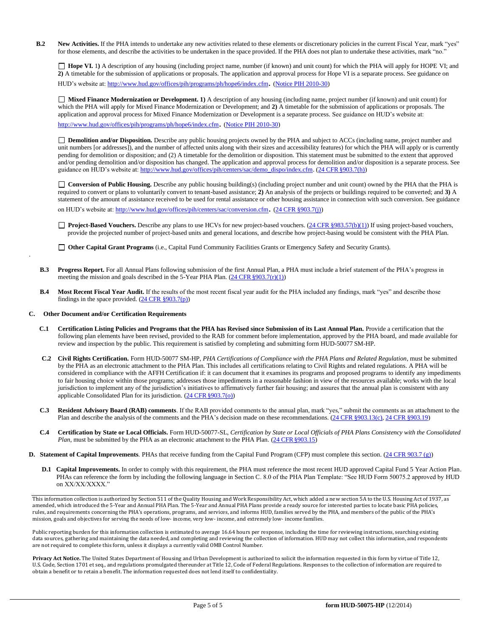**B.2 New Activities.** If the PHA intends to undertake any new activities related to these elements or discretionary policies in the current Fiscal Year, mark "yes" for those elements, and describe the activities to be undertaken in the space provided. If the PHA does not plan to undertake these activities, mark "no."

□ **Hope VI.** 1) A description of any housing (including project name, number (if known) and unit count) for which the PHA will apply for HOPE VI; and **2)** A timetable for the submission of applications or proposals. The application and approval process for Hope VI is a separate process. See guidance on HUD's website at: <http://www.hud.gov/offices/pih/programs/ph/hope6/index.cfm>. [\(Notice PIH 2010-30\)](http://www.hud.gov/offices/adm/hudclips/notices/pih/07pihnotices.cfm)

**Mixed Finance Modernization or Development. 1)** A description of any housing (including name, project number (if known) and unit count) for which the PHA will apply for Mixed Finance Modernization or Development; and **2)** A timetable for the submission of applications or proposals. The application and approval process for Mixed Finance Modernization or Development is a separate process. See guidance on HUD's website at:

<http://www.hud.gov/offices/pih/programs/ph/hope6/index.cfm>. [\(Notice PIH 2010-30\)](http://www.hud.gov/offices/adm/hudclips/notices/pih/07pihnotices.cfm)

□ Demolition and/or Disposition. Describe any public housing projects owned by the PHA and subject to ACCs (including name, project number and unit numbers [or addresses]), and the number of affected units along with their sizes and accessibility features) for which the PHA will apply or is currently pending for demolition or disposition; and (2) A timetable for the demolition or disposition. This statement must be submitted to the extent that approved and/or pending demolition and/or disposition has changed. The application and approval process for demolition and/or disposition is a separate process. See guidance on HUD's website at[: http://www.hud.gov/offices/pih/centers/sac/demo\\_dispo/index.cfm. \(](http://www.hud.gov/offices/pih/centers/sac/demo_dispo/index.cfm)24 CFR [§903.7\(h\)\)](http://ecfr.gpoaccess.gov/cgi/t/text/text-idx?c=ecfr&sid=13734845220744370804c20da2294a03&rgn=div5&view=text&node=24%3A4.0.3.1.3&idno=24&24%3A4.0.3.1.3.2.5.5)

□ **Conversion of Public Housing.** Describe any public housing building(s) (including project number and unit count) owned by the PHA that the PHA is required to convert or plans to voluntarily convert to tenant-based assistance; **2)** An analysis of the projects or buildings required to be converted; and **3)** A statement of the amount of assistance received to be used for rental assistance or other housing assistance in connection with such conversion. See guidance on HUD's website at[: http://www.hud.gov/offices/pih/centers/sac/conversion.cfm](http://www.hud.gov/offices/pih/centers/sac/conversion.cfm). [\(24 CFR §903.7\(j\)\)](http://ecfr.gpoaccess.gov/cgi/t/text/text-idx?c=ecfr&sid=13734845220744370804c20da2294a03&rgn=div5&view=text&node=24%3A4.0.3.1.3&idno=24&24%3A4.0.3.1.3.2.5.5)

provide the projected number of project-based units and general locations, and describe how project-basing would be consistent with the PHA Plan.

□ **Project-Based Vouchers.** Describe any plans to use HCVs for new project-based vouchers[. \(24 CFR §983.57\(b\)\(1\)\)](http://ecfr.gpoaccess.gov/cgi/t/text/text-idx?c=ecfr&sid=b44bf19bef93dd31287608d2c687e271&rgn=div5&view=text&node=24%3A4.0.3.1.24&idno=24&24%3A4.0.3.1.24.2.41.7) If using project-based vouchers,

**Other Capital Grant Programs** (i.e., Capital Fund Community Facilities Grants or Emergency Safety and Security Grants).

- **B.3 Progress Report.** For all Annual Plans following submission of the first Annual Plan, a PHA must include a brief statement of the PHA's progress in meeting the mission and goals described in the 5-Year PHA Plan.  $(24 \text{ CFR } \frac{8903.7(r)(1)}{r})$
- **B.4 Most Recent Fiscal Year Audit.** If the results of the most recent fiscal year audit for the PHA included any findings, mark "yes" and describe those findings in the space provided.  $(24 \text{ CFR } \text{\$}903.7(p))$

#### **C. Other Document and/or Certification Requirements**

.

- **C.1 Certification Listing Policies and Programs that the PHA has Revised since Submission of its Last Annual Plan.** Provide a certification that the following plan elements have been revised, provided to the RAB for comment before implementation, approved by the PHA board, and made available for review and inspection by the public. This requirement is satisfied by completing and submitting form HUD-50077 SM-HP.
- **C.2 Civil Rights Certification.** Form HUD-50077 SM-HP, *PHA Certifications of Compliance with the PHA Plans and Related Regulation*, must be submitted by the PHA as an electronic attachment to the PHA Plan. This includes all certifications relating to Civil Rights and related regulations. A PHA will be considered in compliance with the AFFH Certification if: it can document that it examines its programs and proposed programs to identify any impediments to fair housing choice within those programs; addresses those impediments in a reasonable fashion in view of the resources available; works with the local jurisdiction to implement any of the jurisdiction's initiatives to affirmatively further fair housing; and assures that the annual plan is consistent with any applicable Consolidated Plan for its jurisdiction. (24 CFR [§903.7\(o\)\)](http://ecfr.gpoaccess.gov/cgi/t/text/text-idx?c=ecfr&sid=13734845220744370804c20da2294a03&rgn=div5&view=text&node=24%3A4.0.3.1.3&idno=24&24%3A4.0.3.1.3.2.5.5)
- **C.3 Resident Advisory Board (RAB) comments**. If the RAB provided comments to the annual plan, mark "yes," submit the comments as an attachment to the Plan and describe the analysis of the comments and the PHA's decision made on these recommendations. (24 CFR [§903.13\(c\),](http://ecfr.gpoaccess.gov/cgi/t/text/text-idx?c=ecfr&sid=13734845220744370804c20da2294a03&rgn=div5&view=text&node=24%3A4.0.3.1.3&idno=24&24%3A4.0.3.1.3.2.5.9) 24 CFR [§903.19\)](http://ecfr.gpoaccess.gov/cgi/t/text/text-idx?c=ecfr&sid=f41eb312b1425d2a95a2478fde61e11f&rgn=div5&view=text&node=24%3A4.0.3.1.3&idno=24&24%3A4.0.3.1.3.2.5.12)
- **C.4 Certification by State or Local Officials.** Form HUD-50077-SL, *Certification by State or Local Officials of PHA Plans Consistency with the Consolidated Plan*, must be submitted by the PHA as an electronic attachment to the PHA Plan. (24 CFR §903.15)
- **D. Statement of Capital Improvements**. PHAs that receive funding from the Capital Fund Program (CFP) must complete this section[. \(24 CFR 903.7 \(g\)\)](http://ecfr.gpoaccess.gov/cgi/t/text/text-idx?c=ecfr&sid=0885bb33f96a064e6519e07d66d87fd6&rgn=div5&view=text&node=24%3A4.0.3.1.3&idno=24&24%3A4.0.3.1.3.2.5.5)
	- **D.1 Capital Improvements.** In order to comply with this requirement, the PHA must reference the most recent HUD approved Capital Fund 5 Year Action Plan. PHAs can reference the form by including the following language in Section C. 8.0 of the PHA Plan Template: "See HUD Form 50075.2 approved by HUD on XX/XX/XXXX."

This information collection is authorized by Section 511 of the Quality Housing and Work Responsibility Act, which added a new section 5A to the U.S. Housing Act of 1937, as amended, which introduced the 5-Year and Annual PHA Plan. The 5-Year and Annual PHA Plans provide a ready source for interested parties to locate basic PHA policies, rules, and requirements concerning the PHA's operations, programs, and services, and informs HUD, families served by the PHA, and members of the public of the PHA's mission, goals and objectives for serving the needs of low- income, very low- income, and extremely low- income families.

Public reporting burden for this information collection is estimated to average 16.64 hours per response, including the time for reviewing instructions, searching existing data sources, gathering and maintaining the data needed, and completing and reviewing the collection of information. HUD may not collect this information, and respondents are not required to complete this form, unless it displays a currently valid OMB Control Number.

**Privacy Act Notice.** The United States Department of Housing and Urban Development is authorized to solicit the information requested in this form by virtue of Title 12, U.S. Code, Section 1701 et seq., and regulations promulgated thereunder at Title 12, Code of Federal Regulations. Responses to the collection of information are required to obtain a benefit or to retain a benefit. The information requested does not lend itself to confidentiality.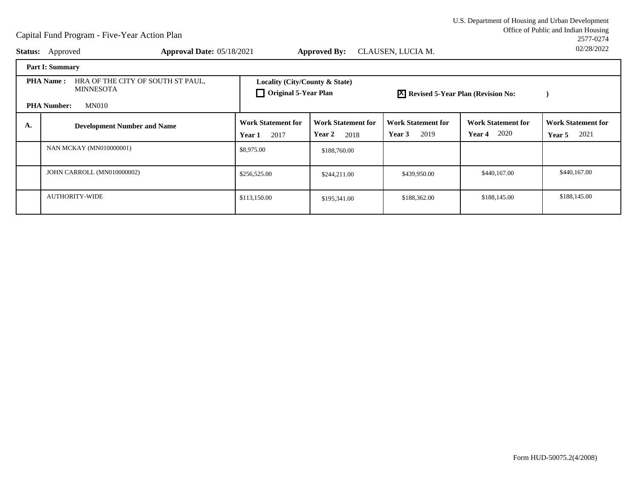Office of Public and Indian Housing<br>2577-0274 U.S. Department of Housing and Urban Development2577-027402/28/2022

| <b>Status:</b> | Approval Date: 05/18/2021<br>Approved                                                                           |                                                               | <b>Approved By:</b>                         | CLAUSEN, LUCIA M.                           |                                                    | 02/28/2022                                  |
|----------------|-----------------------------------------------------------------------------------------------------------------|---------------------------------------------------------------|---------------------------------------------|---------------------------------------------|----------------------------------------------------|---------------------------------------------|
|                | <b>Part I: Summary</b>                                                                                          |                                                               |                                             |                                             |                                                    |                                             |
|                | HRA OF THE CITY OF SOUTH ST PAUL,<br><b>PHA Name:</b><br><b>MINNESOTA</b><br><b>MN010</b><br><b>PHA Number:</b> | Locality (City/County & State)<br>$\Box$ Original 5-Year Plan |                                             | <b>X</b> Revised 5-Year Plan (Revision No:  |                                                    |                                             |
| А.             | <b>Development Number and Name</b>                                                                              | <b>Work Statement for</b><br>2017<br>Year 1                   | <b>Work Statement for</b><br>Year 2<br>2018 | <b>Work Statement for</b><br>2019<br>Year 3 | <b>Work Statement for</b><br>2020<br><b>Year 4</b> | <b>Work Statement for</b><br>2021<br>Year 5 |
|                | <b>NAN MCKAY (MN010000001)</b>                                                                                  | \$8,975.00                                                    | \$188,760.00                                |                                             |                                                    |                                             |
|                | JOHN CARROLL (MN010000002)                                                                                      | \$256,525.00                                                  | \$244,211.00                                | \$439,950.00                                | \$440,167.00                                       | \$440,167.00                                |
|                | <b>AUTHORITY-WIDE</b>                                                                                           | \$113,150.00                                                  | \$195,341.00                                | \$188,362.00                                | \$188,145.00                                       | \$188,145.00                                |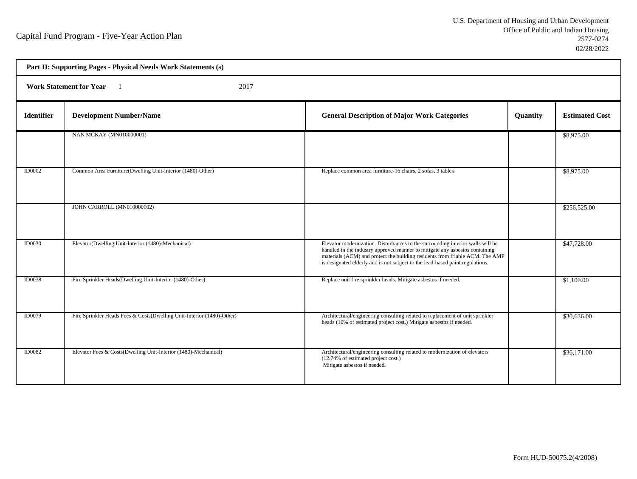h

| Part II: Supporting Pages - Physical Needs Work Statements (s) |                                                                        |                                                                                                                                                                                                                                                                                                                                |          |                       |  |
|----------------------------------------------------------------|------------------------------------------------------------------------|--------------------------------------------------------------------------------------------------------------------------------------------------------------------------------------------------------------------------------------------------------------------------------------------------------------------------------|----------|-----------------------|--|
|                                                                | <b>Work Statement for Year</b><br>2017                                 |                                                                                                                                                                                                                                                                                                                                |          |                       |  |
| <b>Identifier</b>                                              | <b>Development Number/Name</b>                                         | <b>General Description of Major Work Categories</b>                                                                                                                                                                                                                                                                            | Quantity | <b>Estimated Cost</b> |  |
|                                                                | NAN MCKAY (MN010000001)                                                |                                                                                                                                                                                                                                                                                                                                |          | \$8,975.00            |  |
| <b>ID0002</b>                                                  | Common Area Furniture(Dwelling Unit-Interior (1480)-Other)             | Replace common area furniture-16 chairs, 2 sofas, 3 tables                                                                                                                                                                                                                                                                     |          | \$8,975.00            |  |
|                                                                | JOHN CARROLL (MN010000002)                                             |                                                                                                                                                                                                                                                                                                                                |          | \$256,525.00          |  |
| <b>ID0030</b>                                                  | Elevator(Dwelling Unit-Interior (1480)-Mechanical)                     | Elevator modernization. Disturbances to the surrounding interior walls will be<br>handled in the industry approved manner to mitigate any asbestos containing<br>materials (ACM) and protect the building residents from friable ACM. The AMP<br>is designated elderly and is not subject to the lead-based paint regulations. |          | \$47,728.00           |  |
| <b>ID0038</b>                                                  | Fire Sprinkler Heads(Dwelling Unit-Interior (1480)-Other)              | Replace unit fire sprinkler heads. Mitigate asbestos if needed.                                                                                                                                                                                                                                                                |          | \$1,100.00            |  |
| ID0079                                                         | Fire Sprinkler Heads Fees & Costs(Dwelling Unit-Interior (1480)-Other) | Architectural/engineering consulting related to replacement of unit sprinkler<br>heads (10% of estimated project cost.) Mitigate asbestos if needed.                                                                                                                                                                           |          | \$30,636.00           |  |
| <b>ID0082</b>                                                  | Elevator Fees & Costs(Dwelling Unit-Interior (1480)-Mechanical)        | Architectural/engineering consulting related to modernization of elevators<br>(12.74% of estimated project cost.)<br>Mitigate asbestos if needed.                                                                                                                                                                              |          | \$36,171.00           |  |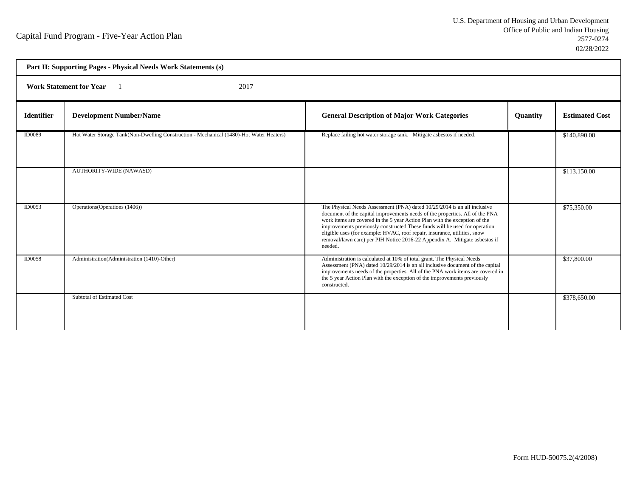| Part II: Supporting Pages - Physical Needs Work Statements (s) |                                                                                         |                                                                                                                                                                                                                                                                                                                                                                                                                                                                                             |          |                       |  |  |
|----------------------------------------------------------------|-----------------------------------------------------------------------------------------|---------------------------------------------------------------------------------------------------------------------------------------------------------------------------------------------------------------------------------------------------------------------------------------------------------------------------------------------------------------------------------------------------------------------------------------------------------------------------------------------|----------|-----------------------|--|--|
|                                                                | Work Statement for Year 1<br>2017                                                       |                                                                                                                                                                                                                                                                                                                                                                                                                                                                                             |          |                       |  |  |
| <b>Identifier</b>                                              | <b>Development Number/Name</b>                                                          | <b>General Description of Major Work Categories</b>                                                                                                                                                                                                                                                                                                                                                                                                                                         | Quantity | <b>Estimated Cost</b> |  |  |
| <b>ID0089</b>                                                  | Hot Water Storage Tank(Non-Dwelling Construction - Mechanical (1480)-Hot Water Heaters) | Replace failing hot water storage tank. Mitigate asbestos if needed.                                                                                                                                                                                                                                                                                                                                                                                                                        |          | \$140,890.00          |  |  |
|                                                                | <b>AUTHORITY-WIDE (NAWASD)</b>                                                          |                                                                                                                                                                                                                                                                                                                                                                                                                                                                                             |          | \$113,150.00          |  |  |
| ID0053                                                         | Operations (Operations (1406))                                                          | The Physical Needs Assessment (PNA) dated 10/29/2014 is an all inclusive<br>document of the capital improvements needs of the properties. All of the PNA<br>work items are covered in the 5 year Action Plan with the exception of the<br>improvements previously constructed. These funds will be used for operation<br>eligible uses (for example: HVAC, roof repair, insurance, utilities, snow<br>removal/lawn care) per PIH Notice 2016-22 Appendix A. Mitigate asbestos if<br>needed. |          | \$75,350.00           |  |  |
| ID0058                                                         | Administration (Administration (1410)-Other)                                            | Administration is calculated at 10% of total grant. The Physical Needs<br>Assessment (PNA) dated 10/29/2014 is an all inclusive document of the capital<br>improvements needs of the properties. All of the PNA work items are covered in<br>the 5 year Action Plan with the exception of the improvements previously<br>constructed.                                                                                                                                                       |          | \$37,800.00           |  |  |
|                                                                | Subtotal of Estimated Cost                                                              |                                                                                                                                                                                                                                                                                                                                                                                                                                                                                             |          | \$378,650.00          |  |  |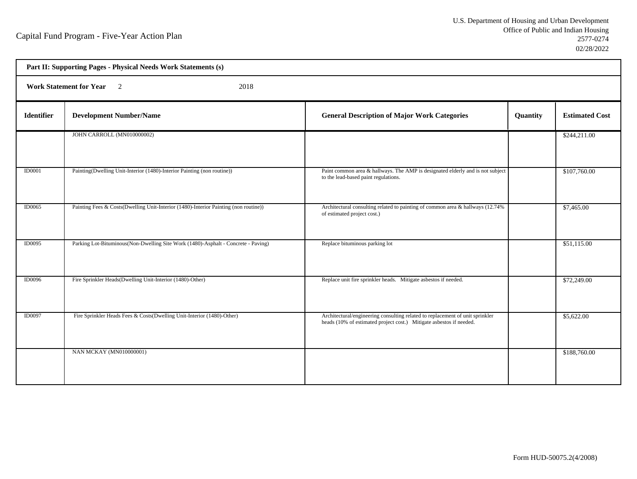h

|                   | Part II: Supporting Pages - Physical Needs Work Statements (s)                       |                                                                                                                                                      |          |                       |
|-------------------|--------------------------------------------------------------------------------------|------------------------------------------------------------------------------------------------------------------------------------------------------|----------|-----------------------|
|                   | Work Statement for Year 2<br>2018                                                    |                                                                                                                                                      |          |                       |
| <b>Identifier</b> | <b>Development Number/Name</b>                                                       | <b>General Description of Major Work Categories</b>                                                                                                  | Quantity | <b>Estimated Cost</b> |
|                   | JOHN CARROLL (MN010000002)                                                           |                                                                                                                                                      |          | \$244,211.00          |
| ID0001            | Painting(Dwelling Unit-Interior (1480)-Interior Painting (non routine))              | Paint common area & hallways. The AMP is designated elderly and is not subject<br>to the lead-based paint regulations.                               |          | \$107,760.00          |
| <b>ID0065</b>     | Painting Fees & Costs(Dwelling Unit-Interior (1480)-Interior Painting (non routine)) | Architectural consulting related to painting of common area & hallways (12.74%<br>of estimated project cost.)                                        |          | \$7,465.00            |
| <b>ID0095</b>     | Parking Lot-Bituminous(Non-Dwelling Site Work (1480)-Asphalt - Concrete - Paving)    | Replace bituminous parking lot                                                                                                                       |          | \$51,115.00           |
| <b>ID0096</b>     | Fire Sprinkler Heads(Dwelling Unit-Interior (1480)-Other)                            | Replace unit fire sprinkler heads. Mitigate asbestos if needed.                                                                                      |          | \$72,249.00           |
| <b>ID0097</b>     | Fire Sprinkler Heads Fees & Costs(Dwelling Unit-Interior (1480)-Other)               | Architectural/engineering consulting related to replacement of unit sprinkler<br>heads (10% of estimated project cost.) Mitigate asbestos if needed. |          | \$5,622.00            |
|                   | <b>NAN MCKAY (MN010000001)</b>                                                       |                                                                                                                                                      |          | \$188,760.00          |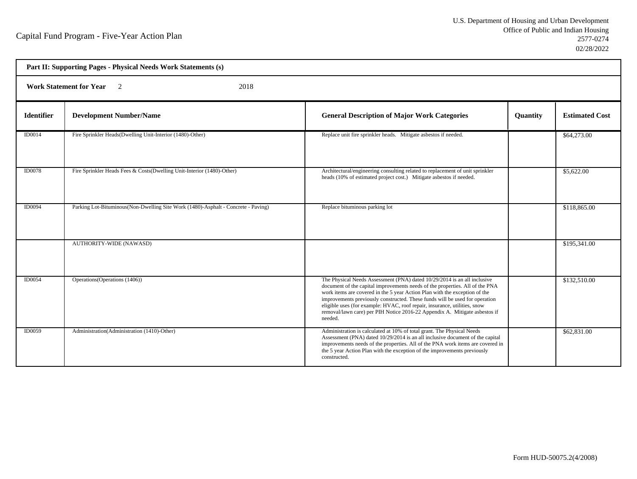| Part II: Supporting Pages - Physical Needs Work Statements (s) |                                                                                   |                                                                                                                                                                                                                                                                                                                                                                                                                                                                                             |                 |                       |  |  |  |
|----------------------------------------------------------------|-----------------------------------------------------------------------------------|---------------------------------------------------------------------------------------------------------------------------------------------------------------------------------------------------------------------------------------------------------------------------------------------------------------------------------------------------------------------------------------------------------------------------------------------------------------------------------------------|-----------------|-----------------------|--|--|--|
|                                                                | <b>Work Statement for Year</b> 2<br>2018                                          |                                                                                                                                                                                                                                                                                                                                                                                                                                                                                             |                 |                       |  |  |  |
| <b>Identifier</b>                                              | <b>Development Number/Name</b>                                                    | <b>General Description of Major Work Categories</b>                                                                                                                                                                                                                                                                                                                                                                                                                                         | <b>Quantity</b> | <b>Estimated Cost</b> |  |  |  |
| ID0014                                                         | Fire Sprinkler Heads(Dwelling Unit-Interior (1480)-Other)                         | Replace unit fire sprinkler heads. Mitigate asbestos if needed.                                                                                                                                                                                                                                                                                                                                                                                                                             |                 | \$64,273.00           |  |  |  |
| <b>ID0078</b>                                                  | Fire Sprinkler Heads Fees & Costs(Dwelling Unit-Interior (1480)-Other)            | Architectural/engineering consulting related to replacement of unit sprinkler<br>heads (10% of estimated project cost.) Mitigate asbestos if needed.                                                                                                                                                                                                                                                                                                                                        |                 | \$5,622.00            |  |  |  |
| <b>ID0094</b>                                                  | Parking Lot-Bituminous(Non-Dwelling Site Work (1480)-Asphalt - Concrete - Paving) | Replace bituminous parking lot                                                                                                                                                                                                                                                                                                                                                                                                                                                              |                 | \$118,865.00          |  |  |  |
|                                                                | <b>AUTHORITY-WIDE (NAWASD)</b>                                                    |                                                                                                                                                                                                                                                                                                                                                                                                                                                                                             |                 | \$195,341.00          |  |  |  |
| ID0054                                                         | Operations (Operations (1406))                                                    | The Physical Needs Assessment (PNA) dated 10/29/2014 is an all inclusive<br>document of the capital improvements needs of the properties. All of the PNA<br>work items are covered in the 5 year Action Plan with the exception of the<br>improvements previously constructed. These funds will be used for operation<br>eligible uses (for example: HVAC, roof repair, insurance, utilities, snow<br>removal/lawn care) per PIH Notice 2016-22 Appendix A. Mitigate asbestos if<br>needed. |                 | \$132,510.00          |  |  |  |
| ID0059                                                         | Administration (Administration (1410)-Other)                                      | Administration is calculated at 10% of total grant. The Physical Needs<br>Assessment (PNA) dated 10/29/2014 is an all inclusive document of the capital<br>improvements needs of the properties. All of the PNA work items are covered in<br>the 5 year Action Plan with the exception of the improvements previously<br>constructed.                                                                                                                                                       |                 | \$62,831.00           |  |  |  |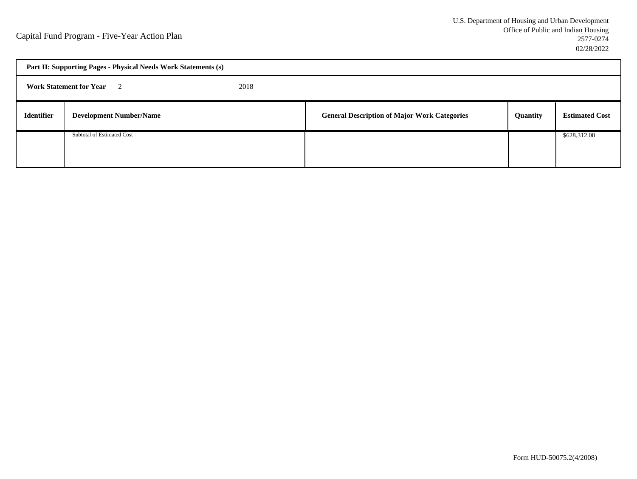|                   | Part II: Supporting Pages - Physical Needs Work Statements (s) |      |                                                     |          |                       |  |  |
|-------------------|----------------------------------------------------------------|------|-----------------------------------------------------|----------|-----------------------|--|--|
|                   | <b>Work Statement for Year</b> 2                               | 2018 |                                                     |          |                       |  |  |
| <b>Identifier</b> | <b>Development Number/Name</b>                                 |      | <b>General Description of Major Work Categories</b> | Quantity | <b>Estimated Cost</b> |  |  |
|                   | Subtotal of Estimated Cost                                     |      |                                                     |          | \$628,312.00          |  |  |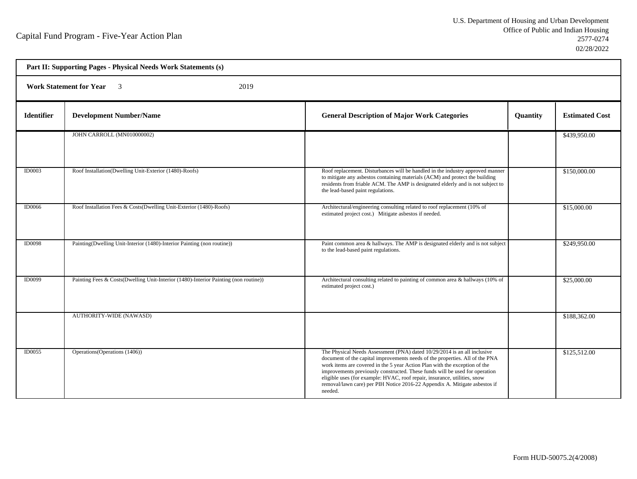| Part II: Supporting Pages - Physical Needs Work Statements (s) |                                                                                      |                                                                                                                                                                                                                                                                                                                                                                                                                                                                                             |          |                       |  |
|----------------------------------------------------------------|--------------------------------------------------------------------------------------|---------------------------------------------------------------------------------------------------------------------------------------------------------------------------------------------------------------------------------------------------------------------------------------------------------------------------------------------------------------------------------------------------------------------------------------------------------------------------------------------|----------|-----------------------|--|
| <b>Work Statement for Year</b> 3<br>2019                       |                                                                                      |                                                                                                                                                                                                                                                                                                                                                                                                                                                                                             |          |                       |  |
| <b>Identifier</b>                                              | <b>Development Number/Name</b>                                                       | <b>General Description of Major Work Categories</b>                                                                                                                                                                                                                                                                                                                                                                                                                                         | Quantity | <b>Estimated Cost</b> |  |
|                                                                | JOHN CARROLL (MN010000002)                                                           |                                                                                                                                                                                                                                                                                                                                                                                                                                                                                             |          | \$439,950.00          |  |
| <b>ID0003</b>                                                  | Roof Installation(Dwelling Unit-Exterior (1480)-Roofs)                               | Roof replacement. Disturbances will be handled in the industry approved manner<br>to mitigate any asbestos containing materials (ACM) and protect the building<br>residents from friable ACM. The AMP is designated elderly and is not subject to<br>the lead-based paint regulations.                                                                                                                                                                                                      |          | \$150,000.00          |  |
| <b>ID0066</b>                                                  | Roof Installation Fees & Costs(Dwelling Unit-Exterior (1480)-Roofs)                  | Architectural/engineering consulting related to roof replacement (10% of<br>estimated project cost.) Mitigate asbestos if needed.                                                                                                                                                                                                                                                                                                                                                           |          | \$15,000.00           |  |
| <b>ID0098</b>                                                  | Painting(Dwelling Unit-Interior (1480)-Interior Painting (non routine))              | Paint common area & hallways. The AMP is designated elderly and is not subject<br>to the lead-based paint regulations.                                                                                                                                                                                                                                                                                                                                                                      |          | \$249,950.00          |  |
| ID0099                                                         | Painting Fees & Costs(Dwelling Unit-Interior (1480)-Interior Painting (non routine)) | Architectural consulting related to painting of common area & hallways (10% of<br>estimated project cost.)                                                                                                                                                                                                                                                                                                                                                                                  |          | \$25,000.00           |  |
|                                                                | <b>AUTHORITY-WIDE (NAWASD)</b>                                                       |                                                                                                                                                                                                                                                                                                                                                                                                                                                                                             |          | \$188,362.00          |  |
| ID0055                                                         | Operations (Operations (1406))                                                       | The Physical Needs Assessment (PNA) dated 10/29/2014 is an all inclusive<br>document of the capital improvements needs of the properties. All of the PNA<br>work items are covered in the 5 year Action Plan with the exception of the<br>improvements previously constructed. These funds will be used for operation<br>eligible uses (for example: HVAC, roof repair, insurance, utilities, snow<br>removal/lawn care) per PIH Notice 2016-22 Appendix A. Mitigate asbestos if<br>needed. |          | \$125,512.00          |  |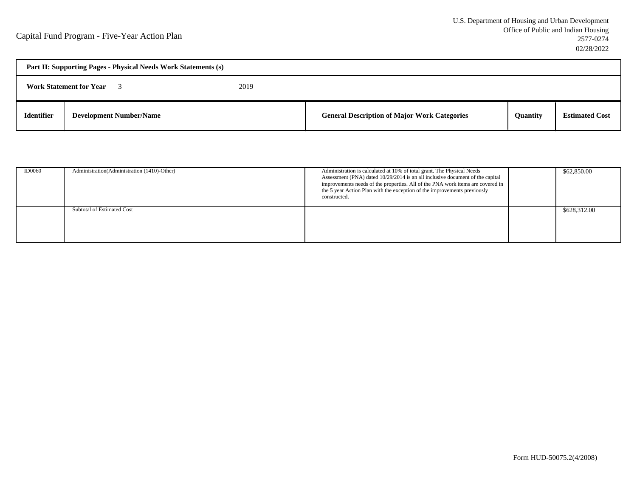| Part II: Supporting Pages - Physical Needs Work Statements (s) |                                |      |                                                     |                 |                       |  |
|----------------------------------------------------------------|--------------------------------|------|-----------------------------------------------------|-----------------|-----------------------|--|
|                                                                | <b>Work Statement for Year</b> | 2019 |                                                     |                 |                       |  |
| <b>Identifier</b>                                              | <b>Development Number/Name</b> |      | <b>General Description of Major Work Categories</b> | <b>Quantity</b> | <b>Estimated Cost</b> |  |

| <b>ID0060</b> | Administration (Administration (1410)-Other) | Administration is calculated at 10% of total grant. The Physical Needs<br>Assessment (PNA) dated 10/29/2014 is an all inclusive document of the capital<br>improvements needs of the properties. All of the PNA work items are covered in<br>the 5 year Action Plan with the exception of the improvements previously<br>constructed. | \$62,850.00  |
|---------------|----------------------------------------------|---------------------------------------------------------------------------------------------------------------------------------------------------------------------------------------------------------------------------------------------------------------------------------------------------------------------------------------|--------------|
|               | Subtotal of Estimated Cost                   |                                                                                                                                                                                                                                                                                                                                       | \$628,312.00 |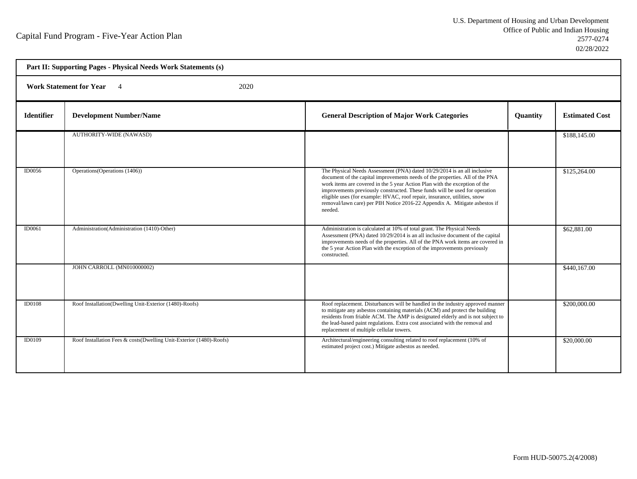| Part II: Supporting Pages - Physical Needs Work Statements (s) |                                                                     |                                                                                                                                                                                                                                                                                                                                                                                                                                                                                             |                 |                       |  |
|----------------------------------------------------------------|---------------------------------------------------------------------|---------------------------------------------------------------------------------------------------------------------------------------------------------------------------------------------------------------------------------------------------------------------------------------------------------------------------------------------------------------------------------------------------------------------------------------------------------------------------------------------|-----------------|-----------------------|--|
|                                                                | Work Statement for Year 4<br>2020                                   |                                                                                                                                                                                                                                                                                                                                                                                                                                                                                             |                 |                       |  |
| <b>Identifier</b>                                              | <b>Development Number/Name</b>                                      | <b>General Description of Major Work Categories</b>                                                                                                                                                                                                                                                                                                                                                                                                                                         | <b>Quantity</b> | <b>Estimated Cost</b> |  |
|                                                                | <b>AUTHORITY-WIDE (NAWASD)</b>                                      |                                                                                                                                                                                                                                                                                                                                                                                                                                                                                             |                 | \$188,145.00          |  |
| <b>ID0056</b>                                                  | Operations (Operations (1406))                                      | The Physical Needs Assessment (PNA) dated 10/29/2014 is an all inclusive<br>document of the capital improvements needs of the properties. All of the PNA<br>work items are covered in the 5 year Action Plan with the exception of the<br>improvements previously constructed. These funds will be used for operation<br>eligible uses (for example: HVAC, roof repair, insurance, utilities, snow<br>removal/lawn care) per PIH Notice 2016-22 Appendix A. Mitigate asbestos if<br>needed. |                 | \$125,264.00          |  |
| <b>ID0061</b>                                                  | Administration (Administration (1410)-Other)                        | Administration is calculated at 10% of total grant. The Physical Needs<br>Assessment (PNA) dated 10/29/2014 is an all inclusive document of the capital<br>improvements needs of the properties. All of the PNA work items are covered in<br>the 5 year Action Plan with the exception of the improvements previously<br>constructed.                                                                                                                                                       |                 | \$62,881.00           |  |
|                                                                | JOHN CARROLL (MN010000002)                                          |                                                                                                                                                                                                                                                                                                                                                                                                                                                                                             |                 | \$440,167.00          |  |
| <b>ID0108</b>                                                  | Roof Installation(Dwelling Unit-Exterior (1480)-Roofs)              | Roof replacement. Disturbances will be handled in the industry approved manner<br>to mitigate any asbestos containing materials (ACM) and protect the building<br>residents from friable ACM. The AMP is designated elderly and is not subject to<br>the lead-based paint regulations. Extra cost associated with the removal and<br>replacement of multiple cellular towers.                                                                                                               |                 | \$200,000.00          |  |
| <b>ID0109</b>                                                  | Roof Installation Fees & costs(Dwelling Unit-Exterior (1480)-Roofs) | Architectural/engineering consulting related to roof replacement (10% of<br>estimated project cost.) Mitigate asbestos as needed.                                                                                                                                                                                                                                                                                                                                                           |                 | \$20,000.00           |  |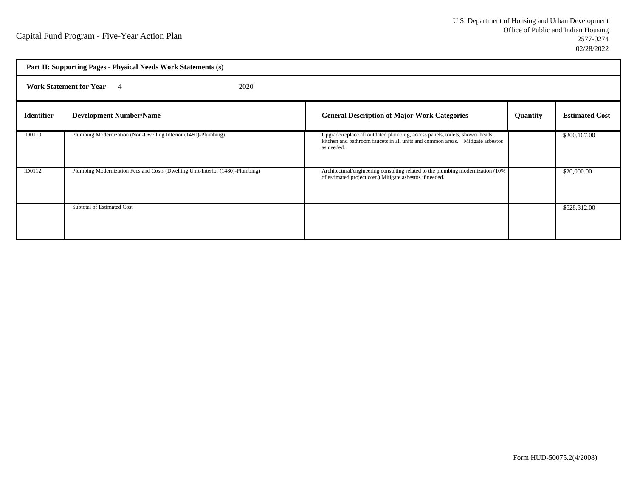| Part II: Supporting Pages - Physical Needs Work Statements (s) |                                                                                |                                                                                                                                                                             |          |                       |
|----------------------------------------------------------------|--------------------------------------------------------------------------------|-----------------------------------------------------------------------------------------------------------------------------------------------------------------------------|----------|-----------------------|
| <b>Work Statement for Year</b><br>2020<br>$\overline{4}$       |                                                                                |                                                                                                                                                                             |          |                       |
| <b>Identifier</b>                                              | <b>Development Number/Name</b>                                                 | <b>General Description of Major Work Categories</b>                                                                                                                         | Quantity | <b>Estimated Cost</b> |
| ID0110                                                         | Plumbing Modernization (Non-Dwelling Interior (1480)-Plumbing)                 | Upgrade/replace all outdated plumbing, access panels, toilets, shower heads,<br>kitchen and bathroom faucets in all units and common areas. Mitigate asbestos<br>as needed. |          | \$200,167.00          |
| ID0112                                                         | Plumbing Modernization Fees and Costs (Dwelling Unit-Interior (1480)-Plumbing) | Architectural/engineering consulting related to the plumbing modernization (10%)<br>of estimated project cost.) Mitigate asbestos if needed.                                |          | \$20,000.00           |
|                                                                | Subtotal of Estimated Cost                                                     |                                                                                                                                                                             |          | \$628,312.00          |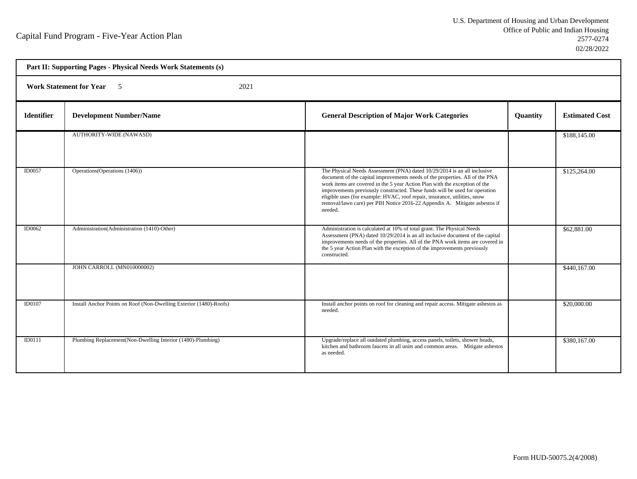| Part II: Supporting Pages - Physical Needs Work Statements (s) |                                                                    |                                                                                                                                                                                                                                                                                                                                                                                                                                                                                             |          |                       |  |
|----------------------------------------------------------------|--------------------------------------------------------------------|---------------------------------------------------------------------------------------------------------------------------------------------------------------------------------------------------------------------------------------------------------------------------------------------------------------------------------------------------------------------------------------------------------------------------------------------------------------------------------------------|----------|-----------------------|--|
|                                                                | <b>Work Statement for Year</b> 5<br>2021                           |                                                                                                                                                                                                                                                                                                                                                                                                                                                                                             |          |                       |  |
| <b>Identifier</b>                                              | <b>Development Number/Name</b>                                     | <b>General Description of Major Work Categories</b>                                                                                                                                                                                                                                                                                                                                                                                                                                         | Quantity | <b>Estimated Cost</b> |  |
|                                                                | <b>AUTHORITY-WIDE (NAWASD)</b>                                     |                                                                                                                                                                                                                                                                                                                                                                                                                                                                                             |          | \$188,145.00          |  |
| ID0057                                                         | Operations (Operations (1406))                                     | The Physical Needs Assessment (PNA) dated 10/29/2014 is an all inclusive<br>document of the capital improvements needs of the properties. All of the PNA<br>work items are covered in the 5 year Action Plan with the exception of the<br>improvements previously constructed. These funds will be used for operation<br>eligible uses (for example: HVAC, roof repair, insurance, utilities, snow<br>removal/lawn care) per PIH Notice 2016-22 Appendix A. Mitigate asbestos if<br>needed. |          | \$125,264.00          |  |
| <b>ID0062</b>                                                  | Administration (Administration (1410)-Other)                       | Administration is calculated at 10% of total grant. The Physical Needs<br>Assessment (PNA) dated 10/29/2014 is an all inclusive document of the capital<br>improvements needs of the properties. All of the PNA work items are covered in<br>the 5 year Action Plan with the exception of the improvements previously<br>constructed.                                                                                                                                                       |          | \$62,881.00           |  |
|                                                                | JOHN CARROLL (MN010000002)                                         |                                                                                                                                                                                                                                                                                                                                                                                                                                                                                             |          | \$440,167.00          |  |
| ID0107                                                         | Install Anchor Points on Roof (Non-Dwelling Exterior (1480)-Roofs) | Install anchor points on roof for cleaning and repair access. Mitigate asbestos as<br>needed.                                                                                                                                                                                                                                                                                                                                                                                               |          | \$20,000.00           |  |
| ID0111                                                         | Plumbing Replacement(Non-Dwelling Interior (1480)-Plumbing)        | Upgrade/replace all outdated plumbing, access panels, toilets, shower heads,<br>kitchen and bathroom faucets in all units and common areas. Mitigate asbestos<br>as needed.                                                                                                                                                                                                                                                                                                                 |          | \$380,167.00          |  |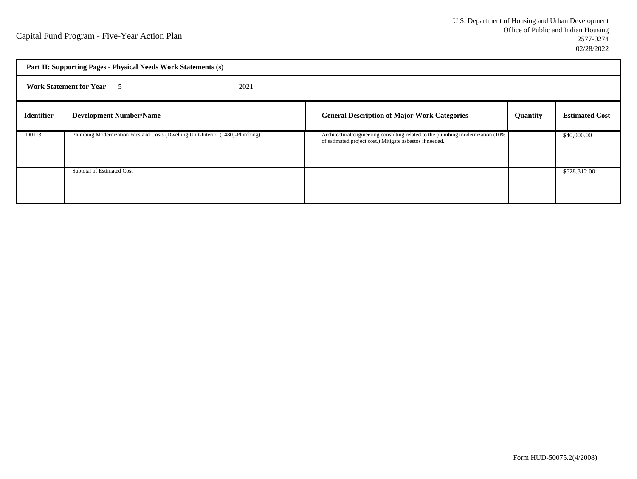| Part II: Supporting Pages - Physical Needs Work Statements (s) |                                                                                |                                                                                                                                             |                 |                       |  |
|----------------------------------------------------------------|--------------------------------------------------------------------------------|---------------------------------------------------------------------------------------------------------------------------------------------|-----------------|-----------------------|--|
| <b>Work Statement for Year</b> 5<br>2021                       |                                                                                |                                                                                                                                             |                 |                       |  |
| <b>Identifier</b>                                              | <b>Development Number/Name</b>                                                 | <b>General Description of Major Work Categories</b>                                                                                         | <b>Quantity</b> | <b>Estimated Cost</b> |  |
| ID0113                                                         | Plumbing Modernization Fees and Costs (Dwelling Unit-Interior (1480)-Plumbing) | Architectural/engineering consulting related to the plumbing modernization (10%<br>of estimated project cost.) Mitigate asbestos if needed. |                 | \$40,000.00           |  |
|                                                                | Subtotal of Estimated Cost                                                     |                                                                                                                                             |                 | \$628,312.00          |  |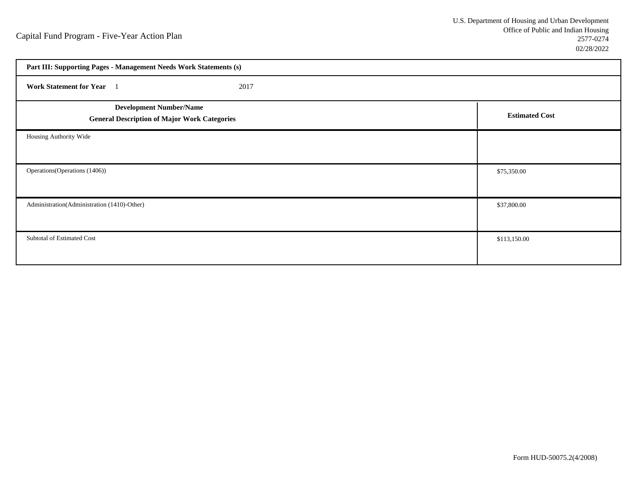| Part III: Supporting Pages - Management Needs Work Statements (s)                     |                       |  |
|---------------------------------------------------------------------------------------|-----------------------|--|
| Work Statement for Year 1<br>2017                                                     |                       |  |
| <b>Development Number/Name</b><br><b>General Description of Major Work Categories</b> | <b>Estimated Cost</b> |  |
| Housing Authority Wide                                                                |                       |  |
| Operations (Operations (1406))                                                        | \$75,350.00           |  |
| Administration(Administration (1410)-Other)                                           | \$37,800.00           |  |
| Subtotal of Estimated Cost                                                            | \$113,150.00          |  |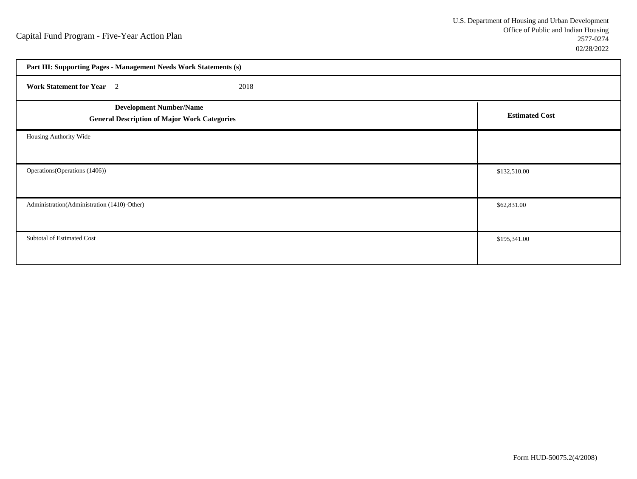| Part III: Supporting Pages - Management Needs Work Statements (s)                     |                       |  |  |
|---------------------------------------------------------------------------------------|-----------------------|--|--|
| Work Statement for Year 2<br>2018                                                     |                       |  |  |
| <b>Development Number/Name</b><br><b>General Description of Major Work Categories</b> | <b>Estimated Cost</b> |  |  |
| Housing Authority Wide                                                                |                       |  |  |
| Operations (Operations (1406))                                                        | \$132,510.00          |  |  |
| Administration(Administration (1410)-Other)                                           | \$62,831.00           |  |  |
| Subtotal of Estimated Cost                                                            | \$195,341.00          |  |  |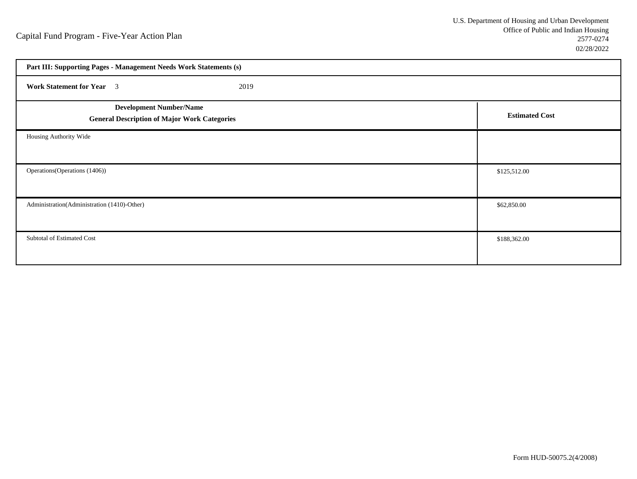| Part III: Supporting Pages - Management Needs Work Statements (s)                     |                       |  |
|---------------------------------------------------------------------------------------|-----------------------|--|
| <b>Work Statement for Year</b> 3<br>2019                                              |                       |  |
| <b>Development Number/Name</b><br><b>General Description of Major Work Categories</b> | <b>Estimated Cost</b> |  |
| Housing Authority Wide                                                                |                       |  |
| Operations (Operations (1406))                                                        | \$125,512.00          |  |
| Administration(Administration (1410)-Other)                                           | \$62,850.00           |  |
| Subtotal of Estimated Cost                                                            | \$188,362.00          |  |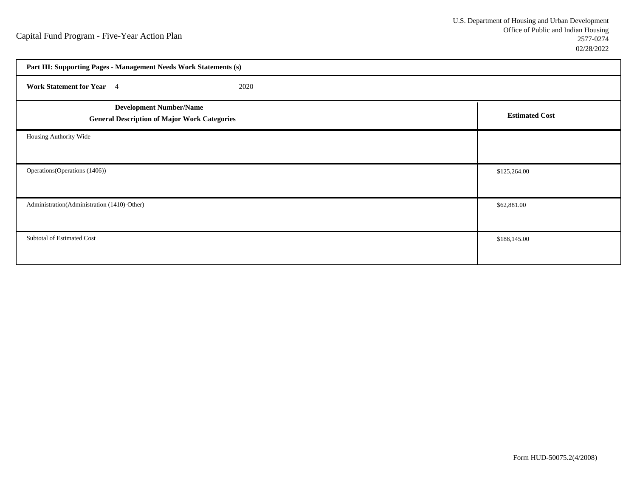| Part III: Supporting Pages - Management Needs Work Statements (s)                     |                       |  |
|---------------------------------------------------------------------------------------|-----------------------|--|
| Work Statement for Year 4<br>2020                                                     |                       |  |
| <b>Development Number/Name</b><br><b>General Description of Major Work Categories</b> | <b>Estimated Cost</b> |  |
| Housing Authority Wide                                                                |                       |  |
| Operations (Operations (1406))                                                        | \$125,264.00          |  |
| Administration(Administration (1410)-Other)                                           | \$62,881.00           |  |
| Subtotal of Estimated Cost                                                            | \$188,145.00          |  |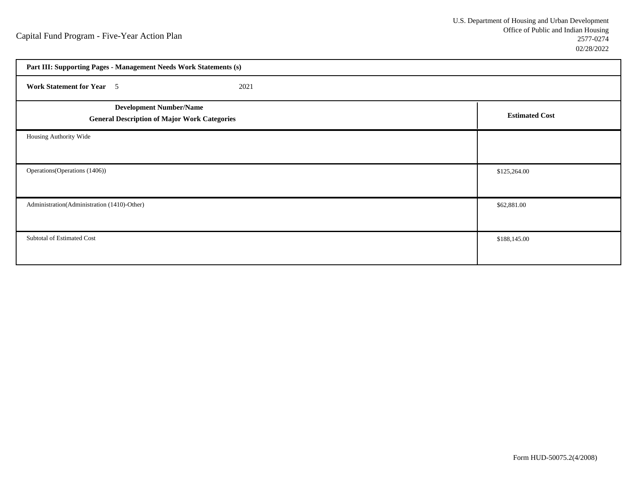| Part III: Supporting Pages - Management Needs Work Statements (s)                     |                       |  |
|---------------------------------------------------------------------------------------|-----------------------|--|
| <b>Work Statement for Year</b> 5<br>2021                                              |                       |  |
| <b>Development Number/Name</b><br><b>General Description of Major Work Categories</b> | <b>Estimated Cost</b> |  |
| Housing Authority Wide                                                                |                       |  |
| Operations (Operations (1406))                                                        | \$125,264.00          |  |
| Administration(Administration (1410)-Other)                                           | \$62,881.00           |  |
| Subtotal of Estimated Cost                                                            | \$188,145.00          |  |